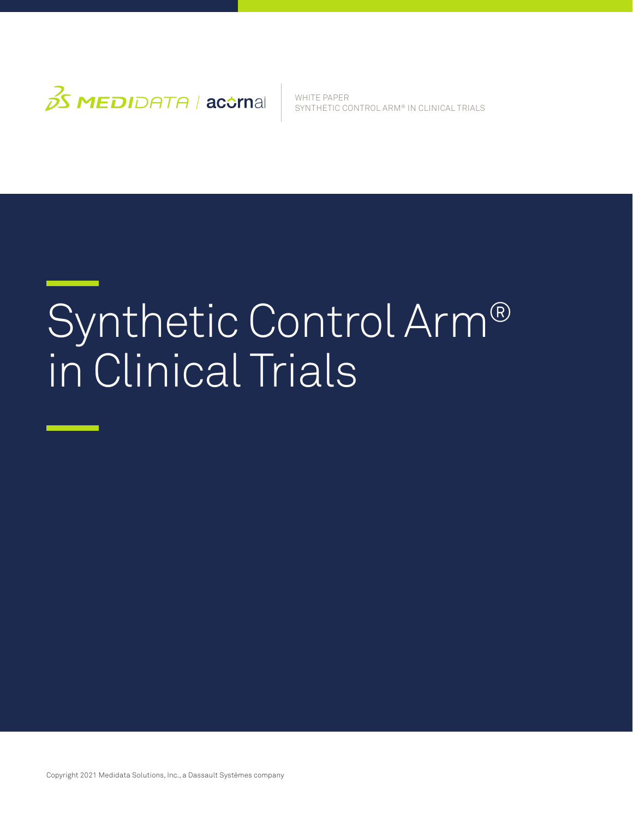

WHITE PAPER SYNTHETIC CONTROL ARM® IN CLINICAL TRIALS

# Synthetic Control Arm® in Clinical Trials

Copyright 2021 Medidata Solutions, Inc., a Dassault Systèmes company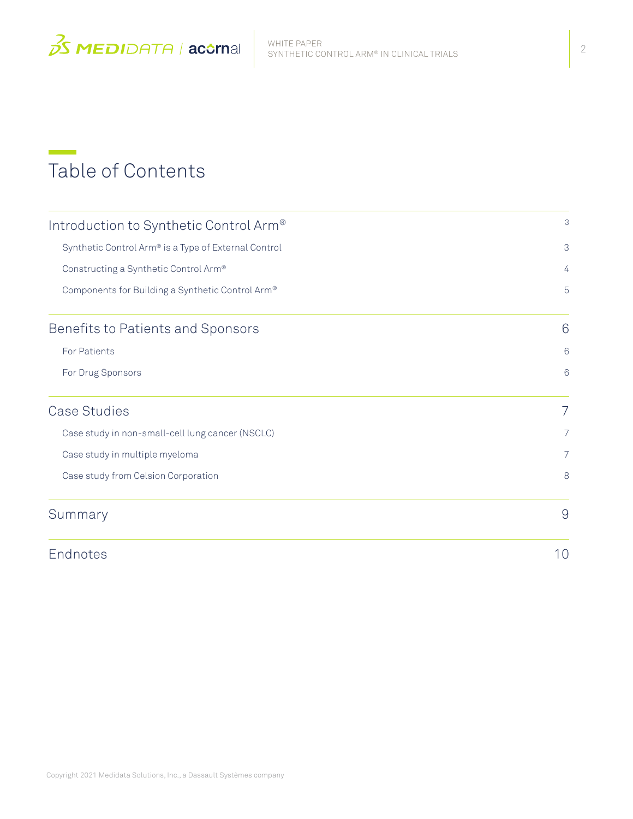$35$  MEDIDATA / acornai

WHITE PAPER SYNTHETIC CONTROL ARM® IN CLINICAL TRIALS

# Table of Contents

| Introduction to Synthetic Control Arm®               | 3               |
|------------------------------------------------------|-----------------|
| Synthetic Control Arm® is a Type of External Control | 3               |
| Constructing a Synthetic Control Arm®                | 4               |
| Components for Building a Synthetic Control Arm®     | 5               |
| Benefits to Patients and Sponsors                    | $6\phantom{1}6$ |
| <b>For Patients</b>                                  | 6               |
| For Drug Sponsors                                    | 6               |
| <b>Case Studies</b>                                  | 7               |
| Case study in non-small-cell lung cancer (NSCLC)     | 7               |
| Case study in multiple myeloma                       | 7               |
| Case study from Celsion Corporation                  | 8               |
| Summary                                              | $\Theta$        |
| Endnotes                                             | 10              |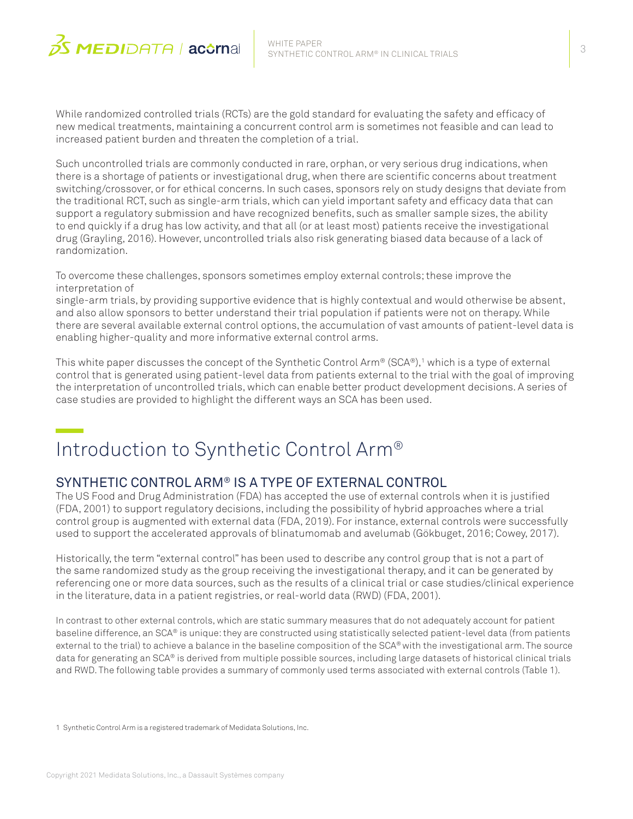

While randomized controlled trials (RCTs) are the gold standard for evaluating the safety and efficacy of new medical treatments, maintaining a concurrent control arm is sometimes not feasible and can lead to increased patient burden and threaten the completion of a trial.

Such uncontrolled trials are commonly conducted in rare, orphan, or very serious drug indications, when there is a shortage of patients or investigational drug, when there are scientific concerns about treatment switching/crossover, or for ethical concerns. In such cases, sponsors rely on study designs that deviate from the traditional RCT, such as single-arm trials, which can yield important safety and efficacy data that can support a regulatory submission and have recognized benefits, such as smaller sample sizes, the ability to end quickly if a drug has low activity, and that all (or at least most) patients receive the investigational drug (Grayling, 2016). However, uncontrolled trials also risk generating biased data because of a lack of randomization.

To overcome these challenges, sponsors sometimes employ external controls; these improve the interpretation of

single-arm trials, by providing supportive evidence that is highly contextual and would otherwise be absent, and also allow sponsors to better understand their trial population if patients were not on therapy. While there are several available external control options, the accumulation of vast amounts of patient-level data is enabling higher-quality and more informative external control arms.

This white paper discusses the concept of the Synthetic Control Arm® (SCA®),<sup>1</sup> which is a type of external control that is generated using patient-level data from patients external to the trial with the goal of improving the interpretation of uncontrolled trials, which can enable better product development decisions. A series of case studies are provided to highlight the different ways an SCA has been used.

# Introduction to Synthetic Control Arm®

### SYNTHETIC CONTROL ARM® IS A TYPE OF EXTERNAL CONTROL

The US Food and Drug Administration (FDA) has accepted the use of external controls when it is justified (FDA, 2001) to support regulatory decisions, including the possibility of hybrid approaches where a trial control group is augmented with external data (FDA, 2019). For instance, external controls were successfully used to support the accelerated approvals of blinatumomab and avelumab (Gökbuget, 2016; Cowey, 2017).

Historically, the term "external control" has been used to describe any control group that is not a part of the same randomized study as the group receiving the investigational therapy, and it can be generated by referencing one or more data sources, such as the results of a clinical trial or case studies/clinical experience in the literature, data in a patient registries, or real-world data (RWD) (FDA, 2001).

In contrast to other external controls, which are static summary measures that do not adequately account for patient baseline difference, an SCA® is unique: they are constructed using statistically selected patient-level data (from patients external to the trial) to achieve a balance in the baseline composition of the SCA® with the investigational arm. The source data for generating an SCA® is derived from multiple possible sources, including large datasets of historical clinical trials and RWD. The following table provides a summary of commonly used terms associated with external controls (Table 1).

1 Synthetic Control Arm is a registered trademark of Medidata Solutions, Inc.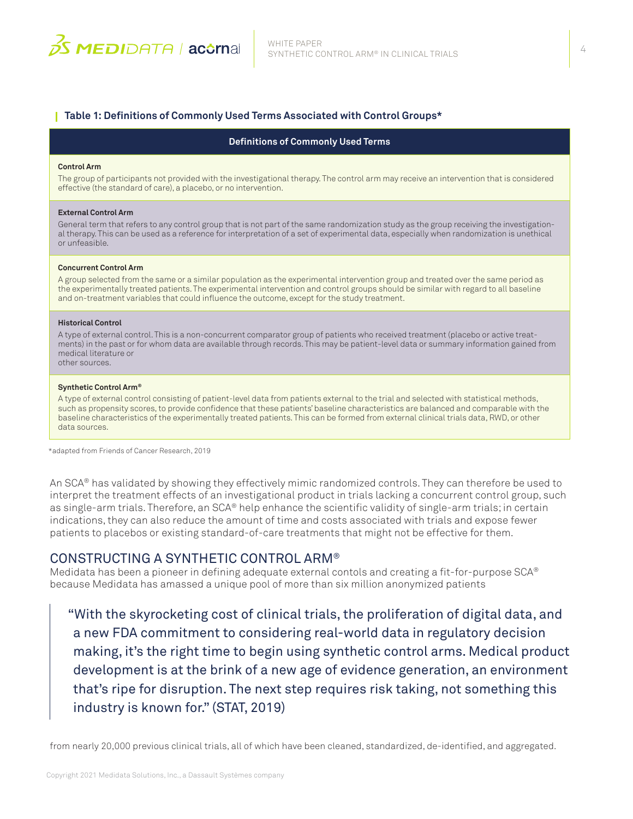

#### **Table 1: Definitions of Commonly Used Terms Associated with Control Groups\***

#### **Definitions of Commonly Used Terms**

#### **Control Arm**

The group of participants not provided with the investigational therapy. The control arm may receive an intervention that is considered effective (the standard of care), a placebo, or no intervention.

#### **External Control Arm**

General term that refers to any control group that is not part of the same randomization study as the group receiving the investigational therapy. This can be used as a reference for interpretation of a set of experimental data, especially when randomization is unethical or unfeasible.

#### **Concurrent Control Arm**

A group selected from the same or a similar population as the experimental intervention group and treated over the same period as the experimentally treated patients. The experimental intervention and control groups should be similar with regard to all baseline and on-treatment variables that could influence the outcome, except for the study treatment.

#### **Historical Control**

A type of external control. This is a non-concurrent comparator group of patients who received treatment (placebo or active treatments) in the past or for whom data are available through records. This may be patient-level data or summary information gained from medical literature or other sources.

#### **Synthetic Control Arm®**

A type of external control consisting of patient-level data from patients external to the trial and selected with statistical methods, such as propensity scores, to provide confidence that these patients' baseline characteristics are balanced and comparable with the baseline characteristics of the experimentally treated patients. This can be formed from external clinical trials data, RWD, or other data sources.

\*adapted from Friends of Cancer Research, 2019

An SCA® has validated by showing they effectively mimic randomized controls. They can therefore be used to interpret the treatment effects of an investigational product in trials lacking a concurrent control group, such as single-arm trials. Therefore, an SCA® help enhance the scientific validity of single-arm trials; in certain indications, they can also reduce the amount of time and costs associated with trials and expose fewer patients to placebos or existing standard-of-care treatments that might not be effective for them.

#### CONSTRUCTING A SYNTHETIC CONTROL ARM®

Medidata has been a pioneer in defining adequate external contols and creating a fit-for-purpose SCA® because Medidata has amassed a unique pool of more than six million anonymized patients

"With the skyrocketing cost of clinical trials, the proliferation of digital data, and a new FDA commitment to considering real-world data in regulatory decision making, it's the right time to begin using synthetic control arms. Medical product development is at the brink of a new age of evidence generation, an environment that's ripe for disruption. The next step requires risk taking, not something this industry is known for." (STAT, 2019)

from nearly 20,000 previous clinical trials, all of which have been cleaned, standardized, de-identified, and aggregated.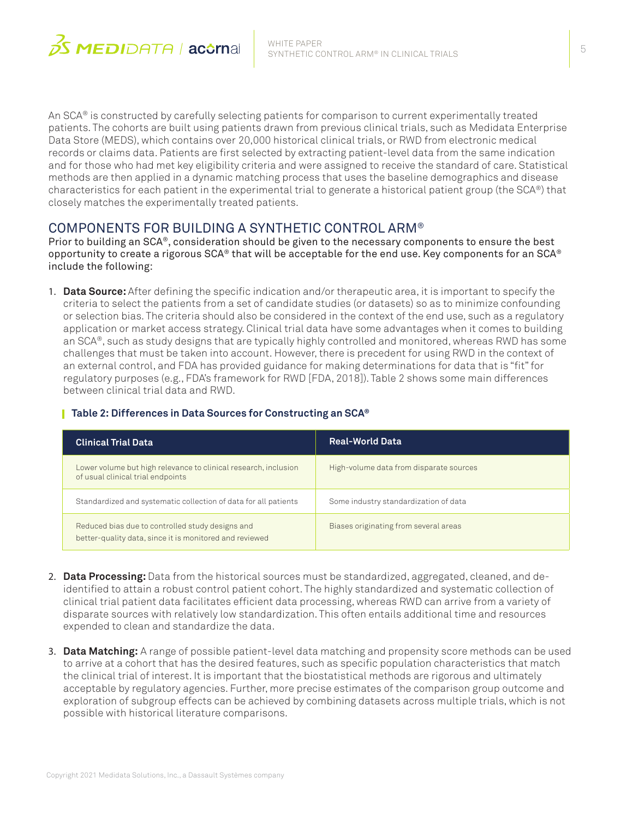

An SCA® is constructed by carefully selecting patients for comparison to current experimentally treated patients. The cohorts are built using patients drawn from previous clinical trials, such as Medidata Enterprise Data Store (MEDS), which contains over 20,000 historical clinical trials, or RWD from electronic medical records or claims data. Patients are first selected by extracting patient-level data from the same indication and for those who had met key eligibility criteria and were assigned to receive the standard of care. Statistical methods are then applied in a dynamic matching process that uses the baseline demographics and disease characteristics for each patient in the experimental trial to generate a historical patient group (the SCA®) that closely matches the experimentally treated patients.

### COMPONENTS FOR BUILDING A SYNTHETIC CONTROL ARM®

Prior to building an SCA®, consideration should be given to the necessary components to ensure the best opportunity to create a rigorous SCA® that will be acceptable for the end use. Key components for an SCA® include the following:

1. **Data Source:** After defining the specific indication and/or therapeutic area, it is important to specify the criteria to select the patients from a set of candidate studies (or datasets) so as to minimize confounding or selection bias. The criteria should also be considered in the context of the end use, such as a regulatory application or market access strategy. Clinical trial data have some advantages when it comes to building an SCA®, such as study designs that are typically highly controlled and monitored, whereas RWD has some challenges that must be taken into account. However, there is precedent for using RWD in the context of an external control, and FDA has provided guidance for making determinations for data that is "fit" for regulatory purposes (e.g., FDA's framework for RWD [FDA, 2018]). Table 2 shows some main differences between clinical trial data and RWD.

#### **Table 2: Differences in Data Sources for Constructing an SCA®**

| <b>Clinical Trial Data</b>                                                                                  | <b>Real-World Data</b>                  |
|-------------------------------------------------------------------------------------------------------------|-----------------------------------------|
| Lower volume but high relevance to clinical research, inclusion<br>of usual clinical trial endpoints        | High-volume data from disparate sources |
| Standardized and systematic collection of data for all patients                                             | Some industry standardization of data   |
| Reduced bias due to controlled study designs and<br>better-quality data, since it is monitored and reviewed | Biases originating from several areas   |

- 2. **Data Processing:** Data from the historical sources must be standardized, aggregated, cleaned, and deidentified to attain a robust control patient cohort. The highly standardized and systematic collection of clinical trial patient data facilitates efficient data processing, whereas RWD can arrive from a variety of disparate sources with relatively low standardization. This often entails additional time and resources expended to clean and standardize the data.
- 3. **Data Matching:** A range of possible patient-level data matching and propensity score methods can be used to arrive at a cohort that has the desired features, such as specific population characteristics that match the clinical trial of interest. It is important that the biostatistical methods are rigorous and ultimately acceptable by regulatory agencies. Further, more precise estimates of the comparison group outcome and exploration of subgroup effects can be achieved by combining datasets across multiple trials, which is not possible with historical literature comparisons.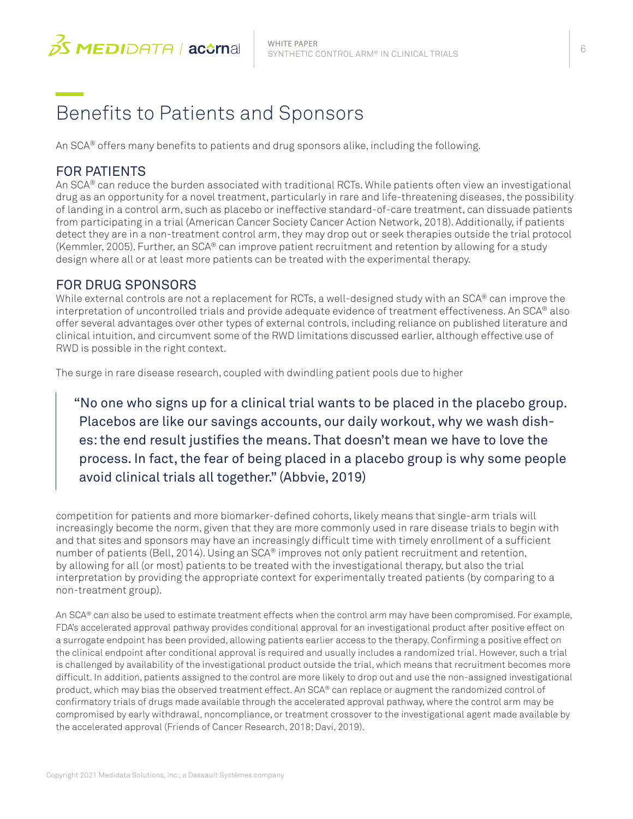

# Benefits to Patients and Sponsors

An SCA® offers many benefits to patients and drug sponsors alike, including the following.

## FOR PATIENTS

An SCA® can reduce the burden associated with traditional RCTs. While patients often view an investigational drug as an opportunity for a novel treatment, particularly in rare and life-threatening diseases, the possibility of landing in a control arm, such as placebo or ineffective standard-of-care treatment, can dissuade patients from participating in a trial (American Cancer Society Cancer Action Network, 2018). Additionally, if patients detect they are in a non-treatment control arm, they may drop out or seek therapies outside the trial protocol (Kemmler, 2005). Further, an SCA® can improve patient recruitment and retention by allowing for a study design where all or at least more patients can be treated with the experimental therapy.

### FOR DRUG SPONSORS

While external controls are not a replacement for RCTs, a well-designed study with an SCA® can improve the interpretation of uncontrolled trials and provide adequate evidence of treatment effectiveness. An SCA® also offer several advantages over other types of external controls, including reliance on published literature and clinical intuition, and circumvent some of the RWD limitations discussed earlier, although effective use of RWD is possible in the right context.

The surge in rare disease research, coupled with dwindling patient pools due to higher

"No one who signs up for a clinical trial wants to be placed in the placebo group. Placebos are like our savings accounts, our daily workout, why we wash dishes: the end result justifies the means. That doesn't mean we have to love the process. In fact, the fear of being placed in a placebo group is why some people avoid clinical trials all together." (Abbvie, 2019)

competition for patients and more biomarker-defined cohorts, likely means that single-arm trials will increasingly become the norm, given that they are more commonly used in rare disease trials to begin with and that sites and sponsors may have an increasingly difficult time with timely enrollment of a sufficient number of patients (Bell, 2014). Using an SCA® improves not only patient recruitment and retention, by allowing for all (or most) patients to be treated with the investigational therapy, but also the trial interpretation by providing the appropriate context for experimentally treated patients (by comparing to a non-treatment group).

An SCA® can also be used to estimate treatment effects when the control arm may have been compromised. For example, FDA's accelerated approval pathway provides conditional approval for an investigational product after positive effect on a surrogate endpoint has been provided, allowing patients earlier access to the therapy. Confirming a positive effect on the clinical endpoint after conditional approval is required and usually includes a randomized trial. However, such a trial is challenged by availability of the investigational product outside the trial, which means that recruitment becomes more difficult. In addition, patients assigned to the control are more likely to drop out and use the non-assigned investigational product, which may bias the observed treatment effect. An SCA® can replace or augment the randomized control of confirmatory trials of drugs made available through the accelerated approval pathway, where the control arm may be compromised by early withdrawal, noncompliance, or treatment crossover to the investigational agent made available by the accelerated approval (Friends of Cancer Research, 2018; Davi, 2019).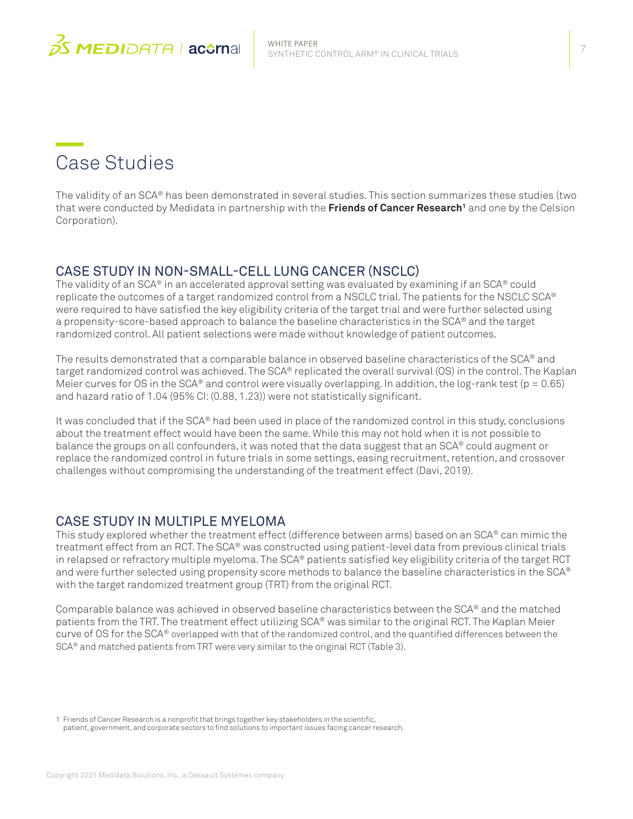

# Case Studies

The validity of an SCA® has been demonstrated in several studies. This section summarizes these studies (two that were conducted by Medidata in partnership with the **Friends of Cancer Research<sup>1</sup>** and one by the Celsion Corporation).

### CASE STUDY IN NON-SMALL-CELL LUNG CANCER (NSCLC)

The validity of an SCA® in an accelerated approval setting was evaluated by examining if an SCA® could replicate the outcomes of a target randomized control from a NSCLC trial. The patients for the NSCLC SCA® were required to have satisfied the key eligibility criteria of the target trial and were further selected using a propensity-score-based approach to balance the baseline characteristics in the SCA® and the target randomized control. All patient selections were made without knowledge of patient outcomes.

The results demonstrated that a comparable balance in observed baseline characteristics of the SCA® and target randomized control was achieved. The SCA® replicated the overall survival (OS) in the control. The Kaplan Meier curves for OS in the SCA® and control were visually overlapping. In addition, the log-rank test ( $p = 0.65$ ) and hazard ratio of 1.04 (95% CI: (0.88, 1.23)) were not statistically significant.

It was concluded that if the SCA® had been used in place of the randomized control in this study, conclusions about the treatment effect would have been the same. While this may not hold when it is not possible to balance the groups on all confounders, it was noted that the data suggest that an SCA® could augment or replace the randomized control in future trials in some settings, easing recruitment, retention, and crossover challenges without compromising the understanding of the treatment effect (Davi, 2019).

### CASE STUDY IN MULTIPLE MYELOMA

This study explored whether the treatment effect (difference between arms) based on an SCA® can mimic the treatment effect from an RCT. The SCA® was constructed using patient-level data from previous clinical trials in relapsed or refractory multiple myeloma. The SCA® patients satisfied key eligibility criteria of the target RCT and were further selected using propensity score methods to balance the baseline characteristics in the SCA® with the target randomized treatment group (TRT) from the original RCT.

Comparable balance was achieved in observed baseline characteristics between the SCA® and the matched patients from the TRT. The treatment effect utilizing SCA® was similar to the original RCT. The Kaplan Meier curve of OS for the SCA® overlapped with that of the randomized control, and the quantified differences between the SCA® and matched patients from TRT were very similar to the original RCT (Table 3).

1 Friends of Cancer Research is a nonprofit that brings together key stakeholders in the scientific,

patient, government, and corporate sectors to find solutions to important issues facing cancer research.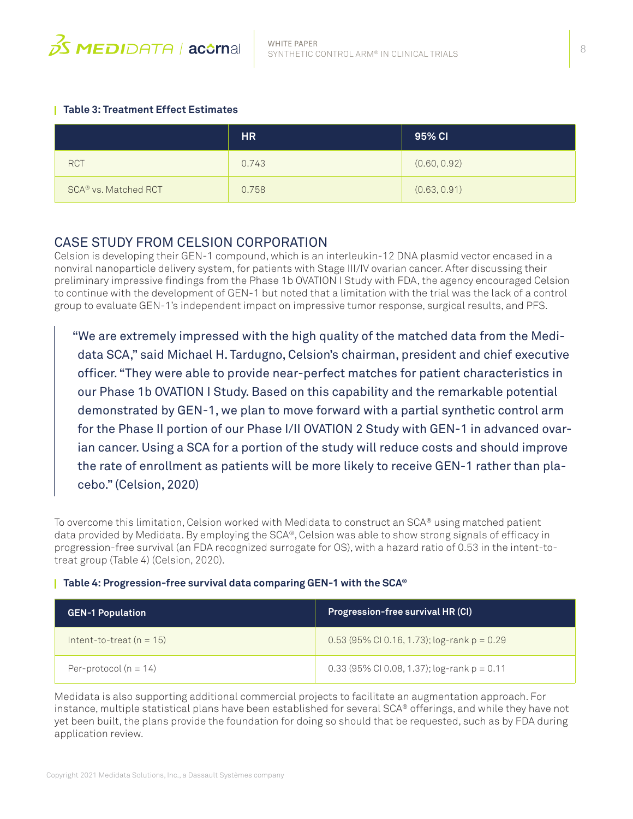

#### **Table 3: Treatment Effect Estimates**

|                                  | <b>HR</b> | 95% CI       |
|----------------------------------|-----------|--------------|
| <b>RCT</b>                       | 0.743     | (0.60, 0.92) |
| SCA <sup>®</sup> vs. Matched RCT | 0.758     | (0.63, 0.91) |

### CASE STUDY FROM CELSION CORPORATION

Celsion is developing their GEN-1 compound, which is an interleukin-12 DNA plasmid vector encased in a nonviral nanoparticle delivery system, for patients with Stage III/IV ovarian cancer. After discussing their preliminary impressive findings from the Phase 1b OVATION I Study with FDA, the agency encouraged Celsion to continue with the development of GEN-1 but noted that a limitation with the trial was the lack of a control group to evaluate GEN-1's independent impact on impressive tumor response, surgical results, and PFS.

"We are extremely impressed with the high quality of the matched data from the Medidata SCA," said Michael H. Tardugno, Celsion's chairman, president and chief executive officer. "They were able to provide near-perfect matches for patient characteristics in our Phase 1b OVATION I Study. Based on this capability and the remarkable potential demonstrated by GEN-1, we plan to move forward with a partial synthetic control arm for the Phase II portion of our Phase I/II OVATION 2 Study with GEN-1 in advanced ovarian cancer. Using a SCA for a portion of the study will reduce costs and should improve the rate of enrollment as patients will be more likely to receive GEN-1 rather than placebo." (Celsion, 2020)

To overcome this limitation, Celsion worked with Medidata to construct an SCA® using matched patient data provided by Medidata. By employing the SCA®, Celsion was able to show strong signals of efficacy in progression-free survival (an FDA recognized surrogate for OS), with a hazard ratio of 0.53 in the intent-totreat group (Table 4) (Celsion, 2020).

#### **Table 4: Progression-free survival data comparing GEN-1 with the SCA®**

| <b>GEN-1 Population</b>      | Progression-free survival HR (CI)             |
|------------------------------|-----------------------------------------------|
| Intent-to-treat ( $n = 15$ ) | $0.53$ (95% CI 0.16, 1.73); log-rank p = 0.29 |
| Per-protocol ( $n = 14$ )    | $0.33$ (95% CI 0.08, 1.37); log-rank p = 0.11 |

Medidata is also supporting additional commercial projects to facilitate an augmentation approach. For instance, multiple statistical plans have been established for several SCA® offerings, and while they have not yet been built, the plans provide the foundation for doing so should that be requested, such as by FDA during application review.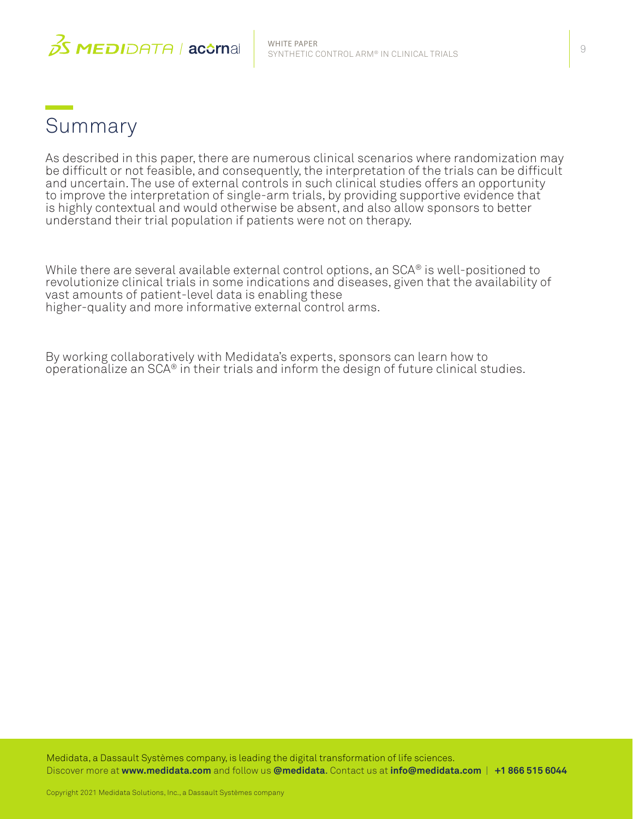



As described in this paper, there are numerous clinical scenarios where randomization may be difficult or not feasible, and consequently, the interpretation of the trials can be difficult and uncertain. The use of external controls in such clinical studies offers an opportunity to improve the interpretation of single-arm trials, by providing supportive evidence that is highly contextual and would otherwise be absent, and also allow sponsors to better understand their trial population if patients were not on therapy.

While there are several available external control options, an SCA® is well-positioned to revolutionize clinical trials in some indications and diseases, given that the availability of vast amounts of patient-level data is enabling these higher-quality and more informative external control arms.

By working collaboratively with Medidata's experts, sponsors can learn how to operationalize an SCA® in their trials and inform the design of future clinical studies.